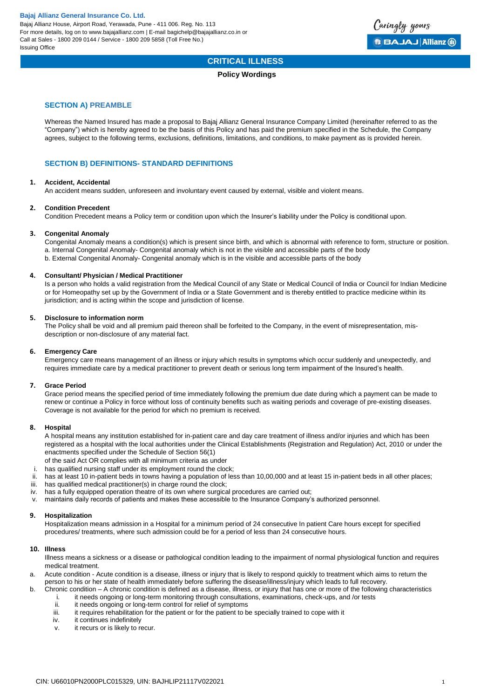

# **CRITICAL ILLNESS**

#### **Policy Wordings**

#### **SECTION A) PREAMBLE**

Whereas the Named Insured has made a proposal to Bajaj Allianz General Insurance Company Limited (hereinafter referred to as the "Company") which is hereby agreed to be the basis of this Policy and has paid the premium specified in the Schedule, the Company agrees, subject to the following terms, exclusions, definitions, limitations, and conditions, to make payment as is provided herein.

## **SECTION B) DEFINITIONS- STANDARD DEFINITIONS**

#### **1. Accident, Accidental**

An accident means sudden, unforeseen and involuntary event caused by external, visible and violent means.

#### **2. Condition Precedent**

Condition Precedent means a Policy term or condition upon which the Insurer's liability under the Policy is conditional upon.

#### **3. Congenital Anomaly**

Congenital Anomaly means a condition(s) which is present since birth, and which is abnormal with reference to form, structure or position. a. Internal Congenital Anomaly- Congenital anomaly which is not in the visible and accessible parts of the body b. External Congenital Anomaly- Congenital anomaly which is in the visible and accessible parts of the body

#### **4. Consultant/ Physician / Medical Practitioner**

Is a person who holds a valid registration from the Medical Council of any State or Medical Council of India or Council for Indian Medicine or for Homeopathy set up by the Government of India or a State Government and is thereby entitled to practice medicine within its jurisdiction; and is acting within the scope and jurisdiction of license.

#### **5. Disclosure to information norm**

The Policy shall be void and all premium paid thereon shall be forfeited to the Company, in the event of misrepresentation, misdescription or non-disclosure of any material fact.

#### **6. Emergency Care**

Emergency care means management of an illness or injury which results in symptoms which occur suddenly and unexpectedly, and requires immediate care by a medical practitioner to prevent death or serious long term impairment of the Insured's health.

#### **7. Grace Period**

Grace period means the specified period of time immediately following the premium due date during which a payment can be made to renew or continue a Policy in force without loss of continuity benefits such as waiting periods and coverage of pre-existing diseases. Coverage is not available for the period for which no premium is received.

#### **8. Hospital**

A hospital means any institution established for in-patient care and day care treatment of illness and/or injuries and which has been registered as a hospital with the local authorities under the Clinical Establishments (Registration and Regulation) Act, 2010 or under the enactments specified under the Schedule of Section 56(1)

- of the said Act OR complies with all minimum criteria as under
- i. has qualified nursing staff under its employment round the clock;
- ii. has at least 10 in-patient beds in towns having a population of less than 10,00,000 and at least 15 in-patient beds in all other places;
- iii. has qualified medical practitioner(s) in charge round the clock;
- iv. has a fully equipped operation theatre of its own where surgical procedures are carried out;
- v. maintains daily records of patients and makes these accessible to the Insurance Company's authorized personnel.

#### **9. Hospitalization**

Hospitalization means admission in a Hospital for a minimum period of 24 consecutive In patient Care hours except for specified procedures/ treatments, where such admission could be for a period of less than 24 consecutive hours.

#### **10. Illness**

Illness means a sickness or a disease or pathological condition leading to the impairment of normal physiological function and requires medical treatment.

a. Acute condition - Acute condition is a disease, illness or injury that is likely to respond quickly to treatment which aims to return the person to his or her state of health immediately before suffering the disease/illness/injury which leads to full recovery.

b. Chronic condition – A chronic condition is defined as a disease, illness, or injury that has one or more of the following characteristics i. it needs ongoing or long-term monitoring through consultations, examinations, check-ups, and /or tests ii. it needs ongoing or long-term control for relief of symptoms

- it needs ongoing or long-term control for relief of symptoms
- iii. it requires rehabilitation for the patient or for the patient to be specially trained to cope with it
- iv. it continues indefinitely
- v. it recurs or is likely to recur.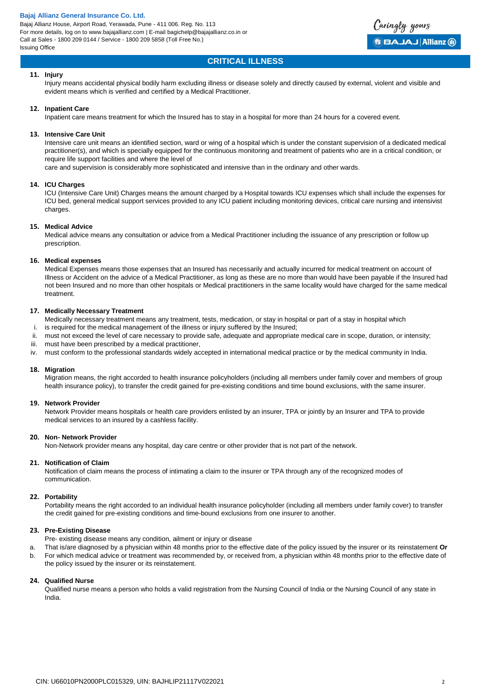Bajaj Allianz House, Airport Road, Yerawada, Pune - 411 006. Reg. No. 113 For more details, log on to www.bajajallianz.com | E-mail bagichelp@bajajallianz.co.in or Call at Sales - 1800 209 0144 / Service - 1800 209 5858 (Toll Free No.) Issuing Office



## **CRITICAL ILLNESS**

#### **11. Injury**

Injury means accidental physical bodily harm excluding illness or disease solely and directly caused by external, violent and visible and evident means which is verified and certified by a Medical Practitioner.

#### **12. Inpatient Care**

Inpatient care means treatment for which the Insured has to stay in a hospital for more than 24 hours for a covered event.

#### **13. Intensive Care Unit**

Intensive care unit means an identified section, ward or wing of a hospital which is under the constant supervision of a dedicated medical practitioner(s), and which is specially equipped for the continuous monitoring and treatment of patients who are in a critical condition, or require life support facilities and where the level of

care and supervision is considerably more sophisticated and intensive than in the ordinary and other wards.

#### **14. ICU Charges**

ICU (Intensive Care Unit) Charges means the amount charged by a Hospital towards ICU expenses which shall include the expenses for ICU bed, general medical support services provided to any ICU patient including monitoring devices, critical care nursing and intensivist charges.

#### **15. Medical Advice**

Medical advice means any consultation or advice from a Medical Practitioner including the issuance of any prescription or follow up prescription.

#### **16. Medical expenses**

Medical Expenses means those expenses that an Insured has necessarily and actually incurred for medical treatment on account of Illness or Accident on the advice of a Medical Practitioner, as long as these are no more than would have been payable if the Insured had not been Insured and no more than other hospitals or Medical practitioners in the same locality would have charged for the same medical treatment.

#### **17. Medically Necessary Treatment**

Medically necessary treatment means any treatment, tests, medication, or stay in hospital or part of a stay in hospital which

- i. is required for the medical management of the illness or injury suffered by the Insured;
- ii. must not exceed the level of care necessary to provide safe, adequate and appropriate medical care in scope, duration, or intensity;
- iii. must have been prescribed by a medical practitioner,
- iv. must conform to the professional standards widely accepted in international medical practice or by the medical community in India.

#### **18. Migration**

Migration means, the right accorded to health insurance policyholders (including all members under family cover and members of group health insurance policy), to transfer the credit gained for pre-existing conditions and time bound exclusions, with the same insurer.

#### **19. Network Provider**

Network Provider means hospitals or health care providers enlisted by an insurer, TPA or jointly by an Insurer and TPA to provide medical services to an insured by a cashless facility.

#### **20. Non- Network Provider**

Non-Network provider means any hospital, day care centre or other provider that is not part of the network.

#### **21. Notification of Claim**

Notification of claim means the process of intimating a claim to the insurer or TPA through any of the recognized modes of communication.

#### **22. Portability**

Portability means the right accorded to an individual health insurance policyholder (including all members under family cover) to transfer the credit gained for pre-existing conditions and time-bound exclusions from one insurer to another.

#### **23. Pre-Existing Disease**

Pre- existing disease means any condition, ailment or injury or disease

a. That is/are diagnosed by a physician within 48 months prior to the effective date of the policy issued by the insurer or its reinstatement **Or** b. For which medical advice or treatment was recommended by, or received from, a physician within 48 months prior to the effective date of the policy issued by the insurer or its reinstatement.

#### **24. Qualified Nurse**

Qualified nurse means a person who holds a valid registration from the Nursing Council of India or the Nursing Council of any state in India.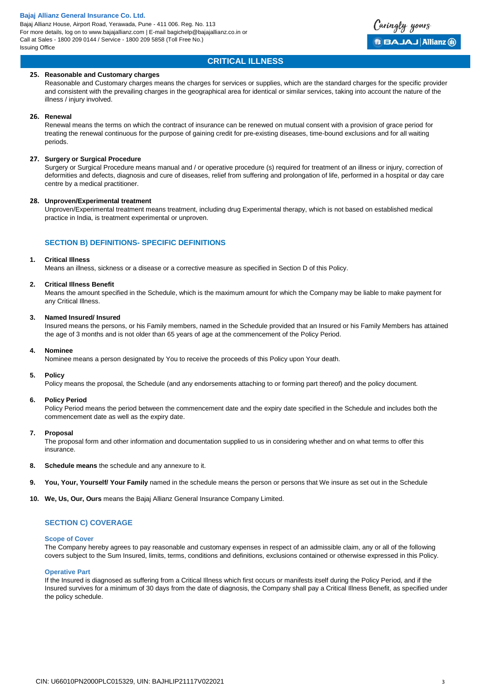# **CRITICAL ILLNESS**

Caringly yours

**BBAJAJ Allianz @** 

#### **25. Reasonable and Customary charges**

Reasonable and Customary charges means the charges for services or supplies, which are the standard charges for the specific provider and consistent with the prevailing charges in the geographical area for identical or similar services, taking into account the nature of the illness / injury involved.

## **26. Renewal**

Renewal means the terms on which the contract of insurance can be renewed on mutual consent with a provision of grace period for treating the renewal continuous for the purpose of gaining credit for pre-existing diseases, time-bound exclusions and for all waiting periods.

#### **27. Surgery or Surgical Procedure**

Surgery or Surgical Procedure means manual and / or operative procedure (s) required for treatment of an illness or injury, correction of deformities and defects, diagnosis and cure of diseases, relief from suffering and prolongation of life, performed in a hospital or day care centre by a medical practitioner.

#### **28. Unproven/Experimental treatment**

Unproven/Experimental treatment means treatment, including drug Experimental therapy, which is not based on established medical practice in India, is treatment experimental or unproven.

# **SECTION B) DEFINITIONS- SPECIFIC DEFINITIONS**

#### **1. Critical Illness**

Means an illness, sickness or a disease or a corrective measure as specified in Section D of this Policy.

#### **2. Critical Illness Benefit**

Means the amount specified in the Schedule, which is the maximum amount for which the Company may be liable to make payment for any Critical Illness.

#### **3. Named Insured/ Insured**

Insured means the persons, or his Family members, named in the Schedule provided that an Insured or his Family Members has attained the age of 3 months and is not older than 65 years of age at the commencement of the Policy Period.

#### **4. Nominee**

Nominee means a person designated by You to receive the proceeds of this Policy upon Your death.

#### **5. Policy**

Policy means the proposal, the Schedule (and any endorsements attaching to or forming part thereof) and the policy document.

#### **6. Policy Period**

Policy Period means the period between the commencement date and the expiry date specified in the Schedule and includes both the commencement date as well as the expiry date.

#### **7. Proposal**

The proposal form and other information and documentation supplied to us in considering whether and on what terms to offer this insurance.

- **8. Schedule means** the schedule and any annexure to it.
- **9. You, Your, Yourself/ Your Family** named in the schedule means the person or persons that We insure as set out in the Schedule
- **10. We, Us, Our, Ours** means the Bajaj Allianz General Insurance Company Limited.

## **SECTION C) COVERAGE**

#### **Scope of Cover**

The Company hereby agrees to pay reasonable and customary expenses in respect of an admissible claim, any or all of the following covers subject to the Sum Insured, limits, terms, conditions and definitions, exclusions contained or otherwise expressed in this Policy.

#### **Operative Part**

If the Insured is diagnosed as suffering from a Critical Illness which first occurs or manifests itself during the Policy Period, and if the Insured survives for a minimum of 30 days from the date of diagnosis, the Company shall pay a Critical Illness Benefit, as specified under the policy schedule.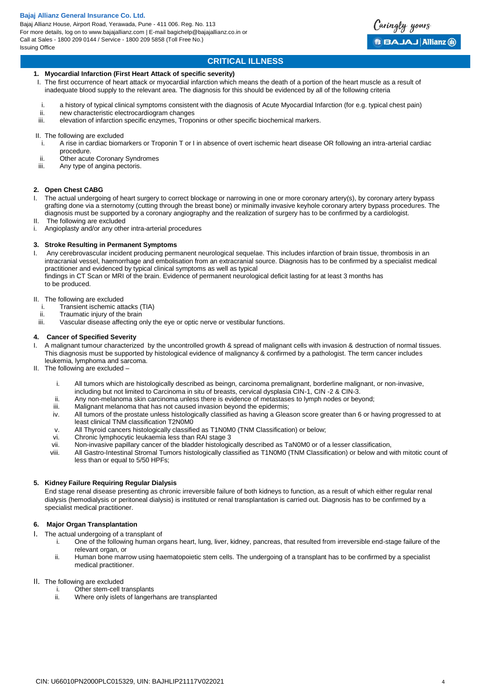Bajaj Allianz House, Airport Road, Yerawada, Pune - 411 006. Reg. No. 113 For more details, log on to www.bajajallianz.com | E-mail bagichelp@bajajallianz.co.in or Call at Sales - 1800 209 0144 / Service - 1800 209 5858 (Toll Free No.) Issuing Office



# **CRITICAL ILLNESS**

#### **1. Myocardial Infarction (First Heart Attack of specific severity)**

- I. The first occurrence of heart attack or myocardial infarction which means the death of a portion of the heart muscle as a result of inadequate blood supply to the relevant area. The diagnosis for this should be evidenced by all of the following criteria
- i. a history of typical clinical symptoms consistent with the diagnosis of Acute Myocardial Infarction (for e.g. typical chest pain)<br>in pew characteristic electrocardiogram changes
- new characteristic electrocardiogram changes
- iii. elevation of infarction specific enzymes, Troponins or other specific biochemical markers.

#### II. The following are excluded

- i. A rise in cardiac biomarkers or Troponin T or I in absence of overt ischemic heart disease OR following an intra-arterial cardiac procedure.
- ii. Other acute Coronary Syndromes
- iii. Any type of angina pectoris.

#### **2. Open Chest CABG**

- I. The actual undergoing of heart surgery to correct blockage or narrowing in one or more coronary artery(s), by coronary artery bypass grafting done via a sternotomy (cutting through the breast bone) or minimally invasive keyhole coronary artery bypass procedures. The diagnosis must be supported by a coronary angiography and the realization of surgery has to be confirmed by a cardiologist.
- II. The following are excluded
- i. Angioplasty and/or any other intra-arterial procedures

#### **3. Stroke Resulting in Permanent Symptoms**

I. Any cerebrovascular incident producing permanent neurological sequelae. This includes infarction of brain tissue, thrombosis in an intracranial vessel, haemorrhage and embolisation from an extracranial source. Diagnosis has to be confirmed by a specialist medical practitioner and evidenced by typical clinical symptoms as well as typical findings in CT Scan or MRI of the brain. Evidence of permanent neurological deficit lasting for at least 3 months has to be produced.

#### II. The following are excluded

- i. Transient ischemic attacks (TIA)
- ii. Traumatic injury of the brain<br>iii. Vascular disease affecting o
- Vascular disease affecting only the eye or optic nerve or vestibular functions.

#### **4. Cancer of Specified Severity**

- I. A malignant tumour characterized by the uncontrolled growth & spread of malignant cells with invasion & destruction of normal tissues. This diagnosis must be supported by histological evidence of malignancy & confirmed by a pathologist. The term cancer includes leukemia, lymphoma and sarcoma.
- II. The following are excluded
	- i. All tumors which are histologically described as beingn, carcinoma premalignant, borderline malignant, or non-invasive, including but not limited to Carcinoma in situ of breasts, cervical dysplasia CIN-1, CIN -2 & CIN-3.
	- ii. Any non-melanoma skin carcinoma unless there is evidence of metastases to lymph nodes or beyond;
	-
	- iii. Malignant melanoma that has not caused invasion beyond the epidermis;<br>iv. All tumors of the prostate unless histologically classified as having a Glea All tumors of the prostate unless histologically classified as having a Gleason score greater than 6 or having progressed to at least clinical TNM classification T2N0M0
	- v. All Thyroid cancers histologically classified as T1N0M0 (TNM Classification) or below;
	- vi. Chronic lymphocytic leukaemia less than RAI stage 3
	- vii. Non-invasive papillary cancer of the bladder histologically described as TaN0M0 or of a lesser classification,
	- viii. All Gastro-Intestinal Stromal Tumors histologically classified as T1N0M0 (TNM Classification) or below and with mitotic count of less than or equal to 5/50 HPFs;

#### **5. Kidney Failure Requiring Regular Dialysis**

End stage renal disease presenting as chronic irreversible failure of both kidneys to function, as a result of which either regular renal dialysis (hemodialysis or peritoneal dialysis) is instituted or renal transplantation is carried out. Diagnosis has to be confirmed by a specialist medical practitioner.

# **6. Major Organ Transplantation**

- I. The actual undergoing of a transplant of<br>One of the following human or
	- One of the following human organs heart, lung, liver, kidney, pancreas, that resulted from irreversible end-stage failure of the relevant organ, or
		- ii. Human bone marrow using haematopoietic stem cells. The undergoing of a transplant has to be confirmed by a specialist medical practitioner.
- II. The following are excluded
	- i. Other stem-cell transplants<br>ii. Where only islets of langer
		- Where only islets of langerhans are transplanted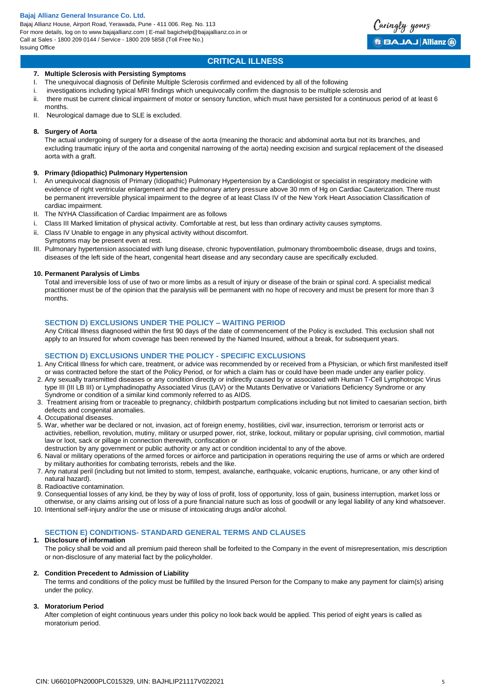Bajaj Allianz House, Airport Road, Yerawada, Pune - 411 006. Reg. No. 113 For more details, log on to www.bajajallianz.com | E-mail bagichelp@bajajallianz.co.in or Call at Sales - 1800 209 0144 / Service - 1800 209 5858 (Toll Free No.) Issuing Office

# **CRITICAL ILLNESS**

Caringly yours

**BBAJAJ Allianz @** 

#### **7. Multiple Sclerosis with Persisting Symptoms**

- I. The unequivocal diagnosis of Definite Multiple Sclerosis confirmed and evidenced by all of the following
- investigations including typical MRI findings which unequivocally confirm the diagnosis to be multiple sclerosis and
- ii. there must be current clinical impairment of motor or sensory function, which must have persisted for a continuous period of at least 6 months.
- II. Neurological damage due to SLE is excluded.

#### **8. Surgery of Aorta**

The actual undergoing of surgery for a disease of the aorta (meaning the thoracic and abdominal aorta but not its branches, and excluding traumatic injury of the aorta and congenital narrowing of the aorta) needing excision and surgical replacement of the diseased aorta with a graft.

#### **9. Primary (Idiopathic) Pulmonary Hypertension**

- I. An unequivocal diagnosis of Primary (Idiopathic) Pulmonary Hypertension by a Cardiologist or specialist in respiratory medicine with evidence of right ventricular enlargement and the pulmonary artery pressure above 30 mm of Hg on Cardiac Cauterization. There must be permanent irreversible physical impairment to the degree of at least Class IV of the New York Heart Association Classification of cardiac impairment.
- II. The NYHA Classification of Cardiac Impairment are as follows
- Class III Marked limitation of physical activity. Comfortable at rest, but less than ordinary activity causes symptoms.
- ii. Class IV Unable to engage in any physical activity without discomfort. Symptoms may be present even at rest.
- III. Pulmonary hypertension associated with lung disease, chronic hypoventilation, pulmonary thromboembolic disease, drugs and toxins, diseases of the left side of the heart, congenital heart disease and any secondary cause are specifically excluded.

#### **10. Permanent Paralysis of Limbs**

Total and irreversible loss of use of two or more limbs as a result of injury or disease of the brain or spinal cord. A specialist medical practitioner must be of the opinion that the paralysis will be permanent with no hope of recovery and must be present for more than 3 months.

#### **SECTION D) EXCLUSIONS UNDER THE POLICY – WAITING PERIOD**

Any Critical Illness diagnosed within the first 90 days of the date of commencement of the Policy is excluded. This exclusion shall not apply to an Insured for whom coverage has been renewed by the Named Insured, without a break, for subsequent years.

# **SECTION D) EXCLUSIONS UNDER THE POLICY - SPECIFIC EXCLUSIONS**

- 1. Any Critical Illness for which care, treatment, or advice was recommended by or received from a Physician, or which first manifested itself or was contracted before the start of the Policy Period, or for which a claim has or could have been made under any earlier policy.
- 2. Any sexually transmitted diseases or any condition directly or indirectly caused by or associated with Human T-Cell Lymphotropic Virus type III (III LB III) or Lymphadinopathy Associated Virus (LAV) or the Mutants Derivative or Variations Deficiency Syndrome or any Syndrome or condition of a similar kind commonly referred to as AIDS.
- 3. Treatment arising from or traceable to pregnancy, childbirth postpartum complications including but not limited to caesarian section, birth defects and congenital anomalies.
- 4. Occupational diseases.
- 5. War, whether war be declared or not, invasion, act of foreign enemy, hostilities, civil war, insurrection, terrorism or terrorist acts or activities, rebellion, revolution, mutiny, military or usurped power, riot, strike, lockout, military or popular uprising, civil commotion, martial law or loot, sack or pillage in connection therewith, confiscation or
- destruction by any government or public authority or any act or condition incidental to any of the above.
- 6. Naval or military operations of the armed forces or airforce and participation in operations requiring the use of arms or which are ordered by military authorities for combating terrorists, rebels and the like.
- 7. Any natural peril (including but not limited to storm, tempest, avalanche, earthquake, volcanic eruptions, hurricane, or any other kind of natural hazard).
- 8. Radioactive contamination.
- 9. Consequential losses of any kind, be they by way of loss of profit, loss of opportunity, loss of gain, business interruption, market loss or
- otherwise, or any claims arising out of loss of a pure financial nature such as loss of goodwill or any legal liability of any kind whatsoever. 10. Intentional self-injury and/or the use or misuse of intoxicating drugs and/or alcohol.

# **SECTION E) CONDITIONS- STANDARD GENERAL TERMS AND CLAUSES**

#### **1. Disclosure of information**

The policy shall be void and all premium paid thereon shall be forfeited to the Company in the event of misrepresentation, mis description or non-disclosure of any material fact by the policyholder.

#### **2. Condition Precedent to Admission of Liability**

The terms and conditions of the policy must be fulfilled by the Insured Person for the Company to make any payment for claim(s) arising under the policy.

#### **3. Moratorium Period**

After completion of eight continuous years under this policy no look back would be applied. This period of eight years is called as moratorium period.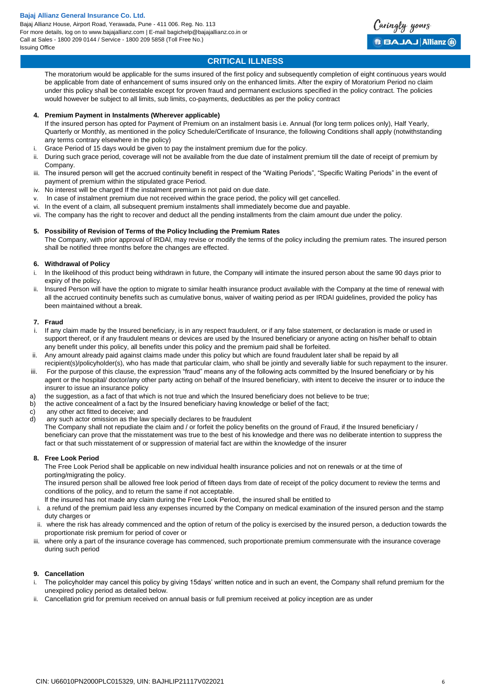

# **CRITICAL ILLNESS**

The moratorium would be applicable for the sums insured of the first policy and subsequently completion of eight continuous years would be applicable from date of enhancement of sums insured only on the enhanced limits. After the expiry of Moratorium Period no claim under this policy shall be contestable except for proven fraud and permanent exclusions specified in the policy contract. The policies would however be subject to all limits, sub limits, co-payments, deductibles as per the policy contract

#### **4. Premium Payment in Instalments (Wherever applicable)**

If the insured person has opted for Payment of Premium on an instalment basis i.e. Annual (for long term polices only), Half Yearly, Quarterly or Monthly, as mentioned in the policy Schedule/Certificate of Insurance, the following Conditions shall apply (notwithstanding any terms contrary elsewhere in the policy)

- i. Grace Period of 15 days would be given to pay the instalment premium due for the policy.
- ii. During such grace period, coverage will not be available from the due date of instalment premium till the date of receipt of premium by Company.
- iii. The insured person will get the accrued continuity benefit in respect of the "Waiting Periods", "Specific Waiting Periods" in the event of payment of premium within the stipulated grace Period.
- iv. No interest will be charged If the instalment premium is not paid on due date.
- v. In case of instalment premium due not received within the grace period, the policy will get cancelled.
- vi. In the event of a claim, all subsequent premium instalments shall immediately become due and payable.
- vii. The company has the right to recover and deduct all the pending installments from the claim amount due under the policy.

#### **5. Possibility of Revision of Terms of the Policy lncluding the Premium Rates**

The Company, with prior approval of lRDAl, may revise or modify the terms of the policy including the premium rates. The insured person shall be notified three months before the changes are effected.

#### **6. Withdrawal of Policy**

- i. ln the likelihood of this product being withdrawn in future, the Company will intimate the insured person about the same 90 days prior to expiry of the policy.
- ii. lnsured Person will have the option to migrate to similar health insurance product available with the Company at the time of renewal with all the accrued continuity benefits such as cumulative bonus, waiver of waiting period as per IRDAI guidelines, provided the policy has been maintained without a break.

#### **7. Fraud**

- If any claim made by the Insured beneficiary, is in any respect fraudulent, or if any false statement, or declaration is made or used in support thereof, or if any fraudulent means or devices are used by the Insured beneficiary or anyone acting on his/her behalf to obtain any benefit under this policy, all benefits under this policy and the premium paid shall be forfeited.
- ii. Any amount already paid against claims made under this policy but which are found fraudulent later shall be repaid by all recipient(s)/policyholder(s), who has made that particular claim, who shall be jointly and severally liable for such repayment to the insurer.
- iii. For the purpose of this clause, the expression "fraud" means any of the following acts committed by the Insured beneficiary or by his agent or the hospital/ doctor/any other party acting on behalf of the Insured beneficiary, with intent to deceive the insurer or to induce the insurer to issue an insurance policy
- a) the suggestion, as a fact of that which is not true and which the Insured beneficiary does not believe to be true;
- b) the active concealment of a fact by the Insured beneficiary having knowledge or belief of the fact;
- c) any other act fitted to deceive; and
- d) any such actor omission as the law specially declares to be fraudulent

The Company shall not repudiate the claim and / or forfeit the policy benefits on the ground of Fraud, if the Insured beneficiary / beneficiary can prove that the misstatement was true to the best of his knowledge and there was no deliberate intention to suppress the fact or that such misstatement of or suppression of material fact are within the knowledge of the insurer

### **8. Free Look Period**

The Free Look Period shall be applicable on new individual health insurance policies and not on renewals or at the time of porting/migrating the policy.

The insured person shall be allowed free look period of fifteen days from date of receipt of the policy document to review the terms and conditions of the policy, and to return the same if not acceptable.

lf the insured has not made any claim during the Free Look Period, the insured shall be entitled to

- i. a refund of the premium paid less any expenses incurred by the Company on medical examination of the insured person and the stamp duty charges or
- ii. where the risk has already commenced and the option of return of the policy is exercised by the insured person, a deduction towards the proportionate risk premium for period of cover or
- iii. where only a part of the insurance coverage has commenced, such proportionate premium commensurate with the insurance coverage during such period

#### **9. Cancellation**

- The policyholder may cancel this policy by giving 15days' written notice and in such an event, the Company shall refund premium for the unexpired policy period as detailed below.
- ii. Cancellation grid for premium received on annual basis or full premium received at policy inception are as under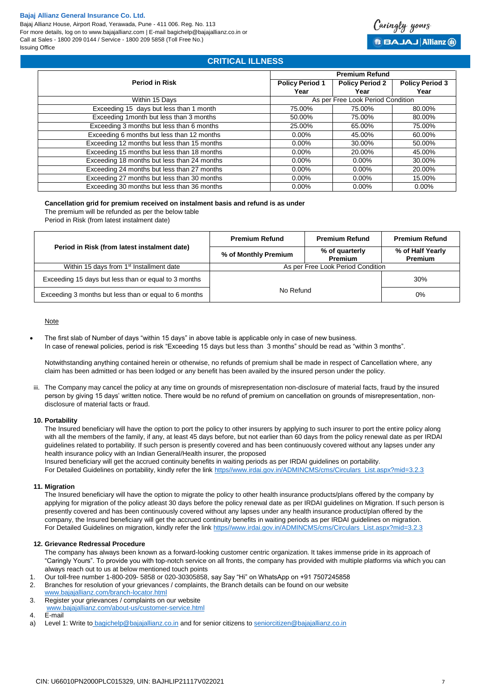Bajaj Allianz House, Airport Road, Yerawada, Pune - 411 006. Reg. No. 113 For more details, log on to www.bajajallianz.com | E-mail bagichelp@bajajallianz.co.in or Call at Sales - 1800 209 0144 / Service - 1800 209 5858 (Toll Free No.) Issuing Office

# Caringly yours **BBAJAJ Allianz (ii)**

# **CRITICAL ILLNESS**

|                                             | <b>Premium Refund</b>             |                        |                        |
|---------------------------------------------|-----------------------------------|------------------------|------------------------|
| <b>Period in Risk</b>                       | <b>Policy Period 1</b>            | <b>Policy Period 2</b> | <b>Policy Period 3</b> |
|                                             | Year                              | Year                   | Year                   |
| Within 15 Days                              | As per Free Look Period Condition |                        |                        |
| Exceeding 15 days but less than 1 month     | 75.00%                            | 75.00%                 | 80.00%                 |
| Exceeding 1 month but less than 3 months    | 50.00%                            | 75.00%                 | 80.00%                 |
| Exceeding 3 months but less than 6 months   | 25.00%                            | 65.00%                 | 75.00%                 |
| Exceeding 6 months but less than 12 months  | $0.00\%$                          | 45.00%                 | 60.00%                 |
| Exceeding 12 months but less than 15 months | $0.00\%$                          | 30.00%                 | 50.00%                 |
| Exceeding 15 months but less than 18 months | $0.00\%$                          | 20.00%                 | 45.00%                 |
| Exceeding 18 months but less than 24 months | $0.00\%$                          | $0.00\%$               | 30.00%                 |
| Exceeding 24 months but less than 27 months | $0.00\%$                          | $0.00\%$               | 20.00%                 |
| Exceeding 27 months but less than 30 months | $0.00\%$                          | $0.00\%$               | 15.00%                 |
| Exceeding 30 months but less than 36 months | $0.00\%$                          | $0.00\%$               | $0.00\%$               |

#### **Cancellation grid for premium received on instalment basis and refund is as under**

The premium will be refunded as per the below table

Period in Risk (from latest instalment date)

| Period in Risk (from latest instalment date)          | <b>Premium Refund</b>             | <b>Premium Refund</b>     | <b>Premium Refund</b>              |
|-------------------------------------------------------|-----------------------------------|---------------------------|------------------------------------|
|                                                       | % of Monthly Premium              | % of quarterly<br>Premium | % of Half Yearly<br><b>Premium</b> |
| Within 15 days from 1 <sup>st</sup> Installment date  | As per Free Look Period Condition |                           |                                    |
| Exceeding 15 days but less than or equal to 3 months  | 30%<br>No Refund<br>0%            |                           |                                    |
| Exceeding 3 months but less than or equal to 6 months |                                   |                           |                                    |

### **Note**

 The first slab of Number of days "within 15 days" in above table is applicable only in case of new business. In case of renewal policies, period is risk "Exceeding 15 days but less than 3 months" should be read as "within 3 months".

Notwithstanding anything contained herein or otherwise, no refunds of premium shall be made in respect of Cancellation where, any claim has been admitted or has been lodged or any benefit has been availed by the insured person under the policy.

iii. The Company may cancel the policy at any time on grounds of misrepresentation non-disclosure of material facts, fraud by the insured person by giving 15 days' written notice. There would be no refund of premium on cancellation on grounds of misrepresentation, nondisclosure of material facts or fraud.

#### **10. Portability**

The Insured beneficiary will have the option to port the policy to other insurers by applying to such insurer to port the entire policy along with all the members of the family, if any, at least 45 days before, but not earlier than 60 days from the policy renewal date as per IRDAI guidelines related to portability. If such person is presently covered and has been continuously covered without any lapses under any health insurance policy with an Indian General/Health insurer, the proposed

Insured beneficiary will get the accrued continuity benefits in waiting periods as per IRDAI guidelines on portability.

For Detailed Guidelines on portability, kindly refer the lin[k https//www.irdai.gov.in/ADMINCMS/cms/Circulars\\_List.aspx?mid=3.2.3](https://www.irdai.gov.in/ADMINCMS/cms/Circulars_List.aspx?mid=3.2.3)

#### **11. Migration**

The Insured beneficiary will have the option to migrate the policy to other health insurance products/plans offered by the company by applying for migration of the policy atleast 30 days before the policy renewal date as per IRDAI guidelines on Migration. If such person is presently covered and has been continuously covered without any lapses under any health insurance product/plan offered by the company, the Insured beneficiary will get the accrued continuity benefits in waiting periods as per IRDAI guidelines on migration. For Detailed Guidelines on migration, kindly refer the link [https//www.irdai.gov.in/ADMINCMS/cms/Circulars\\_List.aspx?mid=3.2.3](https://www.irdai.gov.in/ADMINCMS/cms/Circulars_List.aspx?mid=3.2.3)

#### **12. Grievance Redressal Procedure**

The company has always been known as a forward-looking customer centric organization. It takes immense pride in its approach of "Caringly Yours". To provide you with top-notch service on all fronts, the company has provided with multiple platforms via which you can always reach out to us at below mentioned touch points

- 1. Our toll-free number 1-800-209- 5858 or 020-30305858, say Say "Hi" on WhatsApp on +91 7507245858 Branches for resolution of your grievances / complaints, the Branch details can be found on our website
- [www.bajajallianz.com/branch-locator.html](http://www.bajajallianz.com/branch-locator.html)
- 3. Register your grievances / complaints on our website [www.bajajallianz.com/about-us/customer-service.html](http://www.bajajallianz.com/about-us/customer-service.html)
- 4. E-mail
- a) Level 1: Write to [bagichelp@bajajallianz.co.in](mailto:bagichelp@bajajallianz.co.in) and for senior citizens t[o seniorcitizen@bajajallianz.co.in](mailto:seniorcitizen@bajajallianz.co.in)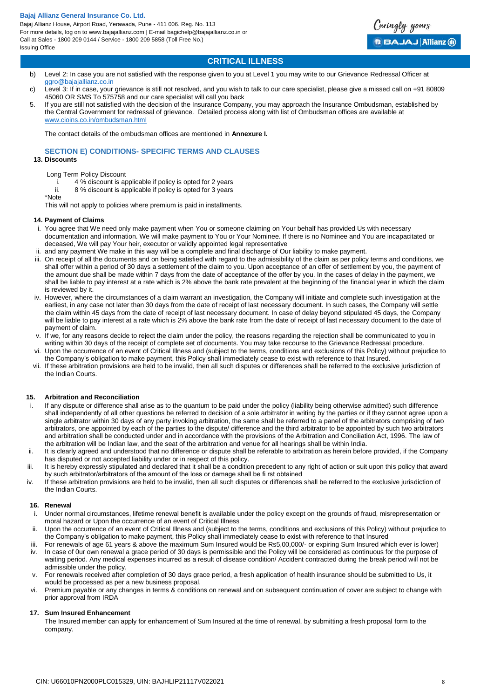Bajaj Allianz House, Airport Road, Yerawada, Pune - 411 006. Reg. No. 113 For more details, log on to www.bajajallianz.com | E-mail bagichelp@bajajallianz.co.in or Call at Sales - 1800 209 0144 / Service - 1800 209 5858 (Toll Free No.) Issuing Office

Caringly yours **BBAJAJ Allianz @** 

# **CRITICAL ILLNESS**

- b) Level 2: In case you are not satisfied with the response given to you at Level 1 you may write to our Grievance Redressal Officer at [ggro@bajajallianz.co.in](mailto:ggro@bajajallianz.co.in)
- c) Level 3: If in case, your grievance is still not resolved, and you wish to talk to our care specialist, please give a missed call on +91 80809 45060 OR SMS To 575758 and our care specialist will call you back
- 5. If you are still not satisfied with the decision of the Insurance Company, you may approach the Insurance Ombudsman, established by the Central Government for redressal of grievance. Detailed process along with list of Ombudsman offices are available at [www.cioins.co.in/ombudsman.html](http://www.cioins.co.in/ombudsman.html)

The contact details of the ombudsman offices are mentioned in **Annexure I.** 

**SECTION E) CONDITIONS- SPECIFIC TERMS AND CLAUSES**

#### **13. Discounts**

- Long Term Policy Discount
	- i. 4 % discount is applicable if policy is opted for 2 years
- ii. 8 % discount is applicable if policy is opted for 3 years
- \*Note This will not apply to policies where premium is paid in installments.

#### **14. Payment of Claims**

- i. You agree that We need only make payment when You or someone claiming on Your behalf has provided Us with necessary documentation and information. We will make payment to You or Your Nominee. If there is no Nominee and You are incapacitated or deceased, We will pay Your heir, executor or validly appointed legal representative
- ii. and any payment We make in this way will be a complete and final discharge of Our liability to make payment.
- iii. On receipt of all the documents and on being satisfied with regard to the admissibility of the claim as per policy terms and conditions, we shall offer within a period of 30 days a settlement of the claim to you. Upon acceptance of an offer of settlement by you, the payment of the amount due shall be made within 7 days from the date of acceptance of the offer by you. In the cases of delay in the payment, we shall be liable to pay interest at a rate which is 2% above the bank rate prevalent at the beginning of the financial year in which the claim is reviewed by it.
- iv. However, where the circumstances of a claim warrant an investigation, the Company will initiate and complete such investigation at the earliest, in any case not later than 30 days from the date of receipt of last necessary document. In such cases, the Company will settle the claim within 45 days from the date of receipt of last necessary document. In case of delay beyond stipulated 45 days, the Company will be liable to pay interest at a rate which is 2% above the bank rate from the date of receipt of last necessary document to the date of payment of claim.
- v. If we, for any reasons decide to reject the claim under the policy, the reasons regarding the rejection shall be communicated to you in writing within 30 days of the receipt of complete set of documents. You may take recourse to the Grievance Redressal procedure.
- vi. Upon the occurrence of an event of Critical Illness and (subject to the terms, conditions and exclusions of this Policy) without prejudice to the Company's obligation to make payment, this Policy shall immediately cease to exist with reference to that Insured.
- vii. If these arbitration provisions are held to be invalid, then all such disputes or differences shall be referred to the exclusive jurisdiction of the Indian Courts.

#### **15. Arbitration and Reconciliation**

- If any dispute or difference shall arise as to the quantum to be paid under the policy (liability being otherwise admitted) such difference shall independently of all other questions be referred to decision of a sole arbitrator in writing by the parties or if they cannot agree upon a single arbitrator within 30 days of any party invoking arbitration, the same shall be referred to a panel of the arbitrators comprising of two arbitrators, one appointed by each of the parties to the dispute/ difference and the third arbitrator to be appointed by such two arbitrators and arbitration shall be conducted under and in accordance with the provisions of the Arbitration and Conciliation Act, 1996. The law of the arbitration will be Indian law, and the seat of the arbitration and venue for all hearings shall be within India.
- ii. It is clearly agreed and understood that no difference or dispute shall be referable to arbitration as herein before provided, if the Company has disputed or not accepted liability under or in respect of this policy.
- iii. It is hereby expressly stipulated and declared that it shall be a condition precedent to any right of action or suit upon this policy that award by such arbitrator/arbitrators of the amount of the loss or damage shall be fi rst obtained
- iv. If these arbitration provisions are held to be invalid, then all such disputes or differences shall be referred to the exclusive jurisdiction of the Indian Courts.

#### **16. Renewal**

- i. Under normal circumstances, lifetime renewal benefit is available under the policy except on the grounds of fraud, misrepresentation or moral hazard or Upon the occurrence of an event of Critical Illness
- ii. Upon the occurrence of an event of Critical Illness and (subject to the terms, conditions and exclusions of this Policy) without prejudice to the Company's obligation to make payment, this Policy shall immediately cease to exist with reference to that Insured
- iii. For renewals of age 61 years & above the maximum Sum Insured would be Rs5,00,000/- or expiring Sum Insured which ever is lower) iv. In case of 0ur own renewal a grace period of 30 days is permissible and the Policy will be considered as continuous for the purpose of waiting period. Any medical expenses incurred as a result of disease condition/ Accident contracted during the break period will not be admissible under the policy.
- For renewals received after completion of 30 days grace period, a fresh application of health insurance should be submitted to Us, it would be processed as per a new business proposal.
- vi. Premium payable or any changes in terms & conditions on renewal and on subsequent continuation of cover are subject to change with prior approval from IRDA

#### **17. Sum Insured Enhancement**

The Insured member can apply for enhancement of Sum Insured at the time of renewal, by submitting a fresh proposal form to the company.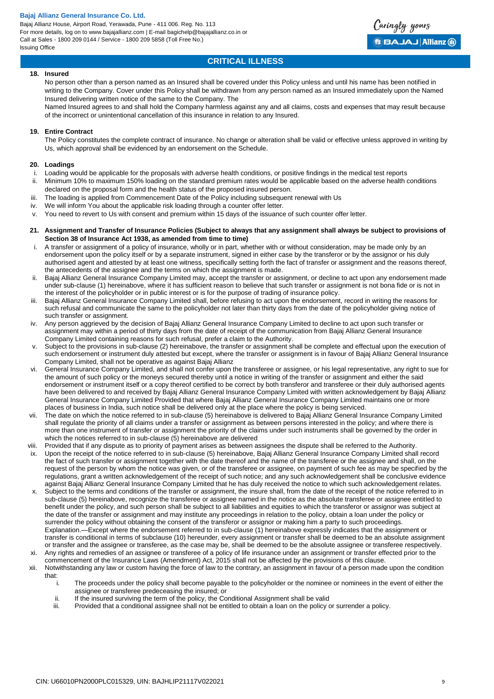Bajaj Allianz House, Airport Road, Yerawada, Pune - 411 006. Reg. No. 113 For more details, log on to www.bajajallianz.com | E-mail bagichelp@bajajallianz.co.in or Call at Sales - 1800 209 0144 / Service - 1800 209 5858 (Toll Free No.) Issuing Office



# **CRITICAL ILLNESS**

#### **18. Insured**

No person other than a person named as an Insured shall be covered under this Policy unless and until his name has been notified in writing to the Company. Cover under this Policy shall be withdrawn from any person named as an Insured immediately upon the Named Insured delivering written notice of the same to the Company. The

Named Insured agrees to and shall hold the Company harmless against any and all claims, costs and expenses that may result because of the incorrect or unintentional cancellation of this insurance in relation to any Insured.

#### **19. Entire Contract**

The Policy constitutes the complete contract of insurance. No change or alteration shall be valid or effective unless approved in writing by Us, which approval shall be evidenced by an endorsement on the Schedule.

#### **20. Loadings**

- i. Loading would be applicable for the proposals with adverse health conditions, or positive findings in the medical test reports
- ii. Minimum 10% to maximum 150% loading on the standard premium rates would be applicable based on the adverse health conditions declared on the proposal form and the health status of the proposed insured person.
- iii. The loading is applied from Commencement Date of the Policy including subsequent renewal with Us
- iv. We will inform You about the applicable risk loading through a counter offer letter.
- v. You need to revert to Us with consent and premium within 15 days of the issuance of such counter offer letter.
- **21. Assignment and Transfer of Insurance Policies (Subject to always that any assignment shall always be subject to provisions of Section 38 of Insurance Act 1938, as amended from time to time)**
- A transfer or assignment of a policy of insurance, wholly or in part, whether with or without consideration, may be made only by an endorsement upon the policy itself or by a separate instrument, signed in either case by the transferor or by the assignor or his duly authorised agent and attested by at least one witness, specifically setting forth the fact of transfer or assignment and the reasons thereof, the antecedents of the assignee and the terms on which the assignment is made.
- ii. Bajaj Allianz General Insurance Company Limited may, accept the transfer or assignment, or decline to act upon any endorsement made under sub-clause (1) hereinabove, where it has sufficient reason to believe that such transfer or assignment is not bona fide or is not in the interest of the policyholder or in public interest or is for the purpose of trading of insurance policy.
- iii. Bajaj Allianz General Insurance Company Limited shall, before refusing to act upon the endorsement, record in writing the reasons for such refusal and communicate the same to the policyholder not later than thirty days from the date of the policyholder giving notice of such transfer or assignment.
- iv. Any person aggrieved by the decision of Bajaj Allianz General Insurance Company Limited to decline to act upon such transfer or assignment may within a period of thirty days from the date of receipt of the communication from Bajaj Allianz General Insurance Company Limited containing reasons for such refusal, prefer a claim to the Authority.
- v. Subject to the provisions in sub-clause (2) hereinabove, the transfer or assignment shall be complete and effectual upon the execution of such endorsement or instrument duly attested but except, where the transfer or assignment is in favour of Bajaj Allianz General Insurance Company Limited, shall not be operative as against Bajaj Allianz
- vi. General Insurance Company Limited, and shall not confer upon the transferee or assignee, or his legal representative, any right to sue for the amount of such policy or the moneys secured thereby until a notice in writing of the transfer or assignment and either the said endorsement or instrument itself or a copy thereof certified to be correct by both transferor and transferee or their duly authorised agents have been delivered to and received by Bajaj Allianz General Insurance Company Limited with written acknowledgement by Bajaj Allianz General Insurance Company Limited Provided that where Bajaj Allianz General Insurance Company Limited maintains one or more places of business in India, such notice shall be delivered only at the place where the policy is being serviced.
- vii. The date on which the notice referred to in sub-clause (5) hereinabove is delivered to Bajaj Allianz General Insurance Company Limited shall regulate the priority of all claims under a transfer or assignment as between persons interested in the policy; and where there is more than one instrument of transfer or assignment the priority of the claims under such instruments shall be governed by the order in which the notices referred to in sub-clause (5) hereinabove are delivered
- viii. Provided that if any dispute as to priority of payment arises as between assignees the dispute shall be referred to the Authority. ix. Upon the receipt of the notice referred to in sub-clause (5) hereinabove, Bajaj Allianz General Insurance Company Limited shall record the fact of such transfer or assignment together with the date thereof and the name of the transferee or the assignee and shall, on the request of the person by whom the notice was given, or of the transferee or assignee, on payment of such fee as may be specified by the
- regulations, grant a written acknowledgement of the receipt of such notice; and any such acknowledgement shall be conclusive evidence against Bajaj Allianz General Insurance Company Limited that he has duly received the notice to which such acknowledgement relates. Subject to the terms and conditions of the transfer or assignment, the insure shall, from the date of the receipt of the notice referred to in
- sub-clause (5) hereinabove, recognize the transferee or assignee named in the notice as the absolute transferee or assignee entitled to benefit under the policy, and such person shall be subject to all liabilities and equities to which the transferor or assignor was subject at the date of the transfer or assignment and may institute any proceedings in relation to the policy, obtain a loan under the policy or surrender the policy without obtaining the consent of the transferor or assignor or making him a party to such proceedings. Explanation.—Except where the endorsement referred to in sub-clause (1) hereinabove expressly indicates that the assignment or transfer is conditional in terms of subclause (10) hereunder, every assignment or transfer shall be deemed to be an absolute assignment or transfer and the assignee or transferee, as the case may be, shall be deemed to be the absolute assignee or transferee respectively.
- xi. Any rights and remedies of an assignee or transferee of a policy of life insurance under an assignment or transfer effected prior to the commencement of the Insurance Laws (Amendment) Act, 2015 shall not be affected by the provisions of this clause.
- xii. Notwithstanding any law or custom having the force of law to the contrary, an assignment in favour of a person made upon the condition that:
	- i. The proceeds under the policy shall become payable to the policyholder or the nominee or nominees in the event of either the assignee or transferee predeceasing the insured; or
	- ii. If the insured surviving the term of the policy, the Conditional Assignment shall be valid<br>iii. Provided that a conditional assignee shall not be entitled to obtain a loan on the policy
	- Provided that a conditional assignee shall not be entitled to obtain a loan on the policy or surrender a policy.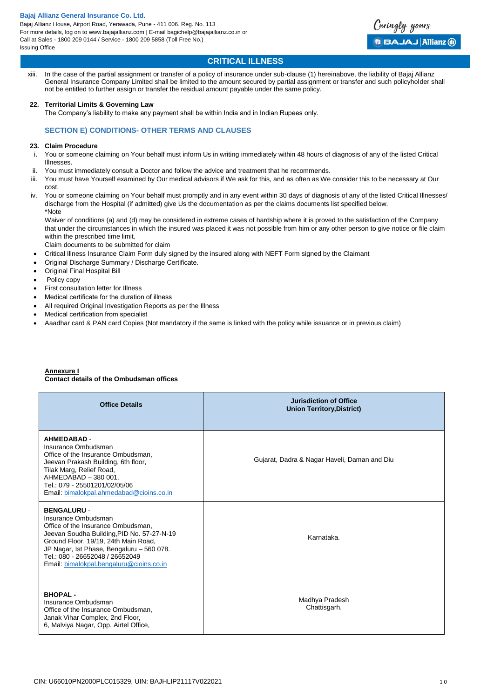

# **CRITICAL ILLNESS**

xiii. In the case of the partial assignment or transfer of a policy of insurance under sub-clause (1) hereinabove, the liability of Bajaj Allianz General Insurance Company Limited shall be limited to the amount secured by partial assignment or transfer and such policyholder shall not be entitled to further assign or transfer the residual amount payable under the same policy.

#### **22. Territorial Limits & Governing Law**

The Company's liability to make any payment shall be within India and in Indian Rupees only.

# **SECTION E) CONDITIONS- OTHER TERMS AND CLAUSES**

#### **23. Claim Procedure**

- i. You or someone claiming on Your behalf must inform Us in writing immediately within 48 hours of diagnosis of any of the listed Critical **Illnesses**
- ii. You must immediately consult a Doctor and follow the advice and treatment that he recommends.
- iii. You must have Yourself examined by Our medical advisors if We ask for this, and as often as We consider this to be necessary at Our cost.
- iv. You or someone claiming on Your behalf must promptly and in any event within 30 days of diagnosis of any of the listed Critical Illnesses/ discharge from the Hospital (if admitted) give Us the documentation as per the claims documents list specified below. \*Note

Waiver of conditions (a) and (d) may be considered in extreme cases of hardship where it is proved to the satisfaction of the Company that under the circumstances in which the insured was placed it was not possible from him or any other person to give notice or file claim within the prescribed time limit.

Claim documents to be submitted for claim

- Critical Illness Insurance Claim Form duly signed by the insured along with NEFT Form signed by the Claimant
- Original Discharge Summary / Discharge Certificate.
- Original Final Hospital Bill
- Policy copy
- First consultation letter for Illness
- Medical certificate for the duration of illness
- All required Original Investigation Reports as per the Illness
- Medical certification from specialist
- Aaadhar card & PAN card Copies (Not mandatory if the same is linked with the policy while issuance or in previous claim)

#### **Annexure I Contact details of the Ombudsman offices**

| <b>Office Details</b>                                                                                                                                                                                                                                                                             | <b>Jurisdiction of Office</b><br><b>Union Territory, District)</b> |
|---------------------------------------------------------------------------------------------------------------------------------------------------------------------------------------------------------------------------------------------------------------------------------------------------|--------------------------------------------------------------------|
| <b>AHMEDABAD -</b><br>Insurance Ombudsman<br>Office of the Insurance Ombudsman.<br>Jeevan Prakash Building, 6th floor,<br>Tilak Marg, Relief Road,<br>AHMEDABAD - 380 001.<br>Tel.: 079 - 25501201/02/05/06<br>Email: bimalokpal.ahmedabad@cioins.co.in                                           | Gujarat, Dadra & Nagar Haveli, Daman and Diu                       |
| <b>BENGALURU -</b><br>Insurance Ombudsman<br>Office of the Insurance Ombudsman.<br>Jeevan Soudha Building, PID No. 57-27-N-19<br>Ground Floor, 19/19, 24th Main Road,<br>JP Nagar, Ist Phase, Bengaluru - 560 078.<br>Tel.: 080 - 26652048 / 26652049<br>Email: bimalokpal.bengaluru@cioins.co.in | Karnataka.                                                         |
| <b>BHOPAL-</b><br>Insurance Ombudsman<br>Office of the Insurance Ombudsman.<br>Janak Vihar Complex, 2nd Floor,<br>6, Malviya Nagar, Opp. Airtel Office,                                                                                                                                           | Madhya Pradesh<br>Chattisgarh.                                     |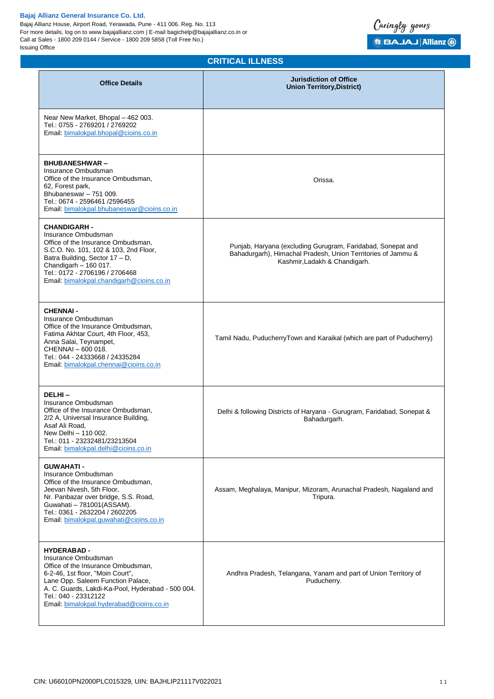Bajaj Allianz House, Airport Road, Yerawada, Pune - 411 006. Reg. No. 113 For more details, log on to www.bajajallianz.com | E-mail bagichelp@bajajallianz.co.in or Call at Sales - 1800 209 0144 / Service - 1800 209 5858 (Toll Free No.) Issuing Office



# **CRITICAL ILLNESS**

| <b>Office Details</b>                                                                                                                                                                                                                                                             | <b>Jurisdiction of Office</b><br><b>Union Territory, District)</b>                                                                                           |
|-----------------------------------------------------------------------------------------------------------------------------------------------------------------------------------------------------------------------------------------------------------------------------------|--------------------------------------------------------------------------------------------------------------------------------------------------------------|
| Near New Market, Bhopal - 462 003.<br>Tel.: 0755 - 2769201 / 2769202<br>Email: bimalokpal.bhopal@cioins.co.in                                                                                                                                                                     |                                                                                                                                                              |
| <b>BHUBANESHWAR-</b><br>Insurance Ombudsman<br>Office of the Insurance Ombudsman.<br>62, Forest park,<br>Bhubaneswar - 751 009.<br>Tel.: 0674 - 2596461 /2596455<br>Email: bimalokpal.bhubaneswar@cioins.co.in                                                                    | Orissa.                                                                                                                                                      |
| <b>CHANDIGARH -</b><br>Insurance Ombudsman<br>Office of the Insurance Ombudsman,<br>S.C.O. No. 101, 102 & 103, 2nd Floor,<br>Batra Building, Sector 17 - D,<br>Chandigarh - 160 017.<br>Tel.: 0172 - 2706196 / 2706468<br>Email: bimalokpal.chandigarh@cioins.co.in               | Punjab, Haryana (excluding Gurugram, Faridabad, Sonepat and<br>Bahadurgarh), Himachal Pradesh, Union Territories of Jammu &<br>Kashmir, Ladakh & Chandigarh. |
| <b>CHENNAI-</b><br>Insurance Ombudsman<br>Office of the Insurance Ombudsman,<br>Fatima Akhtar Court, 4th Floor, 453,<br>Anna Salai, Teynampet,<br>CHENNAI - 600 018.<br>Tel.: 044 - 24333668 / 24335284<br>Email: bimalokpal.chennai@cioins.co.in                                 | Tamil Nadu, PuducherryTown and Karaikal (which are part of Puducherry)                                                                                       |
| DELHI-<br>Insurance Ombudsman<br>Office of the Insurance Ombudsman,<br>2/2 A, Universal Insurance Building,<br>Asaf Ali Road,<br>New Delhi - 110 002.<br>Tel.: 011 - 23232481/23213504<br>Email: bimalokpal.delhi@cioins.co.in                                                    | Delhi & following Districts of Haryana - Gurugram, Faridabad, Sonepat &<br>Bahadurgarh.                                                                      |
| <b>GUWAHATI -</b><br>Insurance Ombudsman<br>Office of the Insurance Ombudsman,<br>Jeevan Nivesh, 5th Floor,<br>Nr. Panbazar over bridge, S.S. Road,<br>Guwahati - 781001(ASSAM).<br>Tel.: 0361 - 2632204 / 2602205<br>Email: bimalokpal.guwahati@cioins.co.in                     | Assam, Meghalaya, Manipur, Mizoram, Arunachal Pradesh, Nagaland and<br>Tripura.                                                                              |
| <b>HYDERABAD -</b><br>Insurance Ombudsman<br>Office of the Insurance Ombudsman,<br>6-2-46, 1st floor, "Moin Court",<br>Lane Opp. Saleem Function Palace,<br>A. C. Guards, Lakdi-Ka-Pool, Hyderabad - 500 004.<br>Tel.: 040 - 23312122<br>Email: bimalokpal.hyderabad@cioins.co.in | Andhra Pradesh, Telangana, Yanam and part of Union Territory of<br>Puducherry.                                                                               |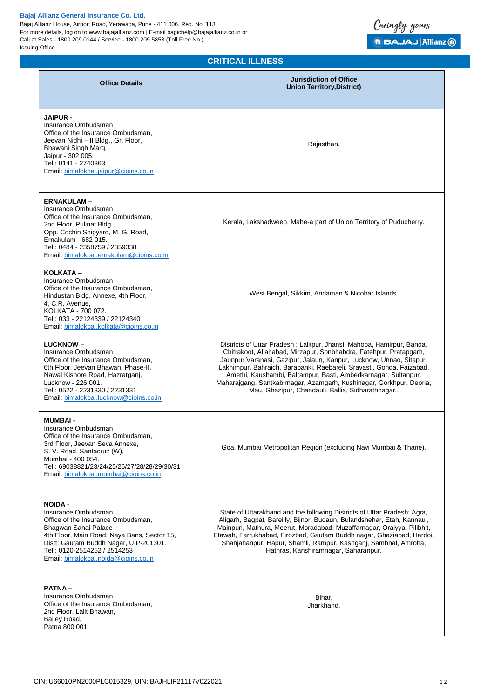Bajaj Allianz House, Airport Road, Yerawada, Pune - 411 006. Reg. No. 113 For more details, log on to www.bajajallianz.com | E-mail bagichelp@bajajallianz.co.in or Call at Sales - 1800 209 0144 / Service - 1800 209 5858 (Toll Free No.) Issuing Office

# **CRITICAL ILLNESS**

Caringly yours

**B BAJAJ Allianz @** 

| <b>Office Details</b>                                                                                                                                                                                                                                                | <b>Jurisdiction of Office</b><br><b>Union Territory, District)</b>                                                                                                                                                                                                                                                                                                                                                                                                                          |
|----------------------------------------------------------------------------------------------------------------------------------------------------------------------------------------------------------------------------------------------------------------------|---------------------------------------------------------------------------------------------------------------------------------------------------------------------------------------------------------------------------------------------------------------------------------------------------------------------------------------------------------------------------------------------------------------------------------------------------------------------------------------------|
| <b>JAIPUR -</b><br>Insurance Ombudsman<br>Office of the Insurance Ombudsman,<br>Jeevan Nidhi - Il Bldg., Gr. Floor,<br>Bhawani Singh Marg,<br>Jaipur - 302 005.<br>Tel.: 0141 - 2740363<br>Email: bimalokpal.jaipur@cioins.co.in                                     | Rajasthan.                                                                                                                                                                                                                                                                                                                                                                                                                                                                                  |
| <b>ERNAKULAM-</b><br>Insurance Ombudsman<br>Office of the Insurance Ombudsman,<br>2nd Floor, Pulinat Bldg.,<br>Opp. Cochin Shipyard, M. G. Road,<br>Ernakulam - 682 015.<br>Tel.: 0484 - 2358759 / 2359338<br>Email: bimalokpal.ernakulam@cioins.co.in               | Kerala, Lakshadweep, Mahe-a part of Union Territory of Puducherry.                                                                                                                                                                                                                                                                                                                                                                                                                          |
| KOLKATA -<br>Insurance Ombudsman<br>Office of the Insurance Ombudsman,<br>Hindustan Bldg. Annexe, 4th Floor,<br>4, C.R. Avenue,<br>KOLKATA - 700 072.<br>Tel.: 033 - 22124339 / 22124340<br>Email: bimalokpal.kolkata@cioins.co.in                                   | West Bengal, Sikkim, Andaman & Nicobar Islands.                                                                                                                                                                                                                                                                                                                                                                                                                                             |
| <b>LUCKNOW-</b><br>Insurance Ombudsman<br>Office of the Insurance Ombudsman,<br>6th Floor, Jeevan Bhawan, Phase-II,<br>Nawal Kishore Road, Hazratganj,<br>Lucknow - 226 001.<br>Tel.: 0522 - 2231330 / 2231331<br>Email: bimalokpal.lucknow@cioins.co.in             | Districts of Uttar Pradesh: Lalitpur, Jhansi, Mahoba, Hamirpur, Banda,<br>Chitrakoot, Allahabad, Mirzapur, Sonbhabdra, Fatehpur, Pratapgarh,<br>Jaunpur, Varanasi, Gazipur, Jalaun, Kanpur, Lucknow, Unnao, Sitapur,<br>Lakhimpur, Bahraich, Barabanki, Raebareli, Sravasti, Gonda, Faizabad,<br>Amethi, Kaushambi, Balrampur, Basti, Ambedkarnagar, Sultanpur,<br>Maharajgang, Santkabirnagar, Azamgarh, Kushinagar, Gorkhpur, Deoria,<br>Mau, Ghazipur, Chandauli, Ballia, Sidharathnagar |
| <b>MUMBAI-</b><br>Insurance Ombudsman<br>Office of the Insurance Ombudsman,<br>3rd Floor, Jeevan Seva Annexe,<br>S. V. Road, Santacruz (W),<br>Mumbai - 400 054.<br>Tel.: 69038821/23/24/25/26/27/28/28/29/30/31<br>Email: bimalokpal.mumbai@cioins.co.in            | Goa, Mumbai Metropolitan Region (excluding Navi Mumbai & Thane).                                                                                                                                                                                                                                                                                                                                                                                                                            |
| <b>NOIDA -</b><br>Insurance Ombudsman<br>Office of the Insurance Ombudsman,<br>Bhagwan Sahai Palace<br>4th Floor, Main Road, Naya Bans, Sector 15,<br>Distt: Gautam Buddh Nagar, U.P-201301.<br>Tel.: 0120-2514252 / 2514253<br>Email: bimalokpal.noida@cioins.co.in | State of Uttarakhand and the following Districts of Uttar Pradesh: Agra,<br>Aligarh, Bagpat, Bareilly, Bijnor, Budaun, Bulandshehar, Etah, Kannauj,<br>Mainpuri, Mathura, Meerut, Moradabad, Muzaffarnagar, Oraiyya, Pilibhit,<br>Etawah, Farrukhabad, Firozbad, Gautam Buddh nagar, Ghaziabad, Hardoi,<br>Shahjahanpur, Hapur, Shamli, Rampur, Kashganj, Sambhal, Amroha,<br>Hathras, Kanshiramnagar, Saharanpur.                                                                          |
| <b>PATNA-</b><br>Insurance Ombudsman<br>Office of the Insurance Ombudsman,<br>2nd Floor, Lalit Bhawan,<br>Bailey Road,<br>Patna 800 001.                                                                                                                             | Bihar,<br>Jharkhand.                                                                                                                                                                                                                                                                                                                                                                                                                                                                        |